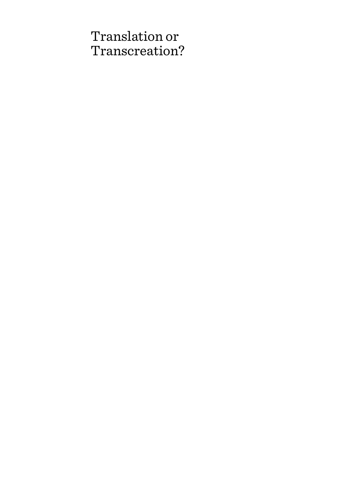# Translation or Transcreation?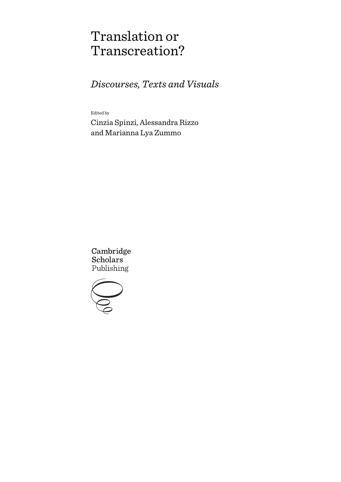# Translation or Transcreation?

*Discourses, Texts and Visuals* 

Edited by

Cinzia Spinzi, Alessandra Rizzo and Marianna Lya Zummo

Cambridge **Scholars** Publishing

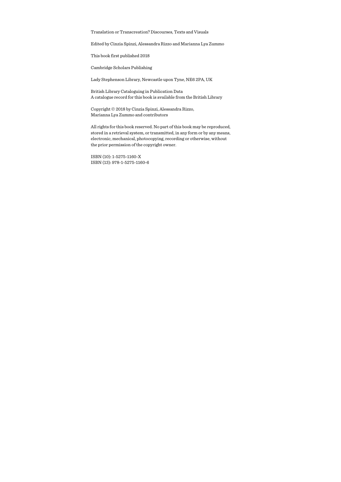Translation or Transcreation? Discourses, Texts and Visuals

Edited by Cinzia Spinzi, Alessandra Rizzo and Marianna Lya Zummo

This book first published 2018

Cambridge Scholars Publishing

Lady Stephenson Library, Newcastle upon Tyne, NE6 2PA, UK

British Library Cataloguing in Publication Data A catalogue record for this book is available from the British Library

Copyright © 2018 by Cinzia Spinzi, Alessandra Rizzo, Marianna Lya Zummo and contributors

All rights for this book reserved. No part of this book may be reproduced, stored in a retrieval system, or transmitted, in any form or by any means, electronic, mechanical, photocopying, recording or otherwise, without the prior permission of the copyright owner.

ISBN (10): 1-5275-1160-X ISBN (13): 978-1-5275-1160-6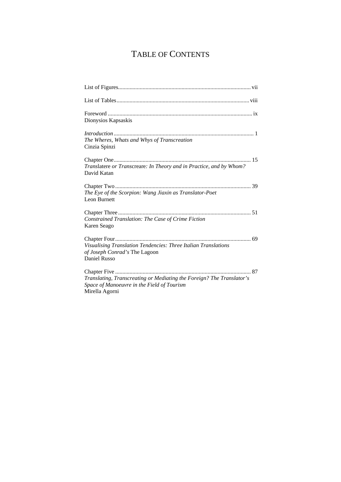# TABLE OF CONTENTS

| Dionysios Kapsaskis                                                                                                                   |
|---------------------------------------------------------------------------------------------------------------------------------------|
| The Wheres, Whats and Whys of Transcreation<br>Cinzia Spinzi                                                                          |
| Translatere or Transcreare: In Theory and in Practice, and by Whom?<br>David Katan                                                    |
| The Eye of the Scorpion: Wang Jiaxin as Translator-Poet<br>Leon Burnett                                                               |
| Constrained Translation: The Case of Crime Fiction<br>Karen Seago                                                                     |
| Visualising Translation Tendencies: Three Italian Translations<br>of Joseph Conrad's The Lagoon<br>Daniel Russo                       |
| Translating, Transcreating or Mediating the Foreign? The Translator's<br>Space of Manoeuvre in the Field of Tourism<br>Mirella Agorni |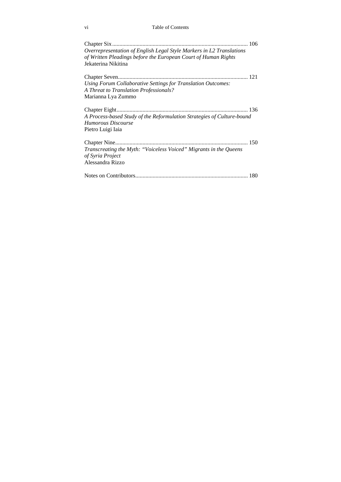#### vi Table of Contents

| Overrepresentation of English Legal Style Markers in L2 Translations<br>of Written Pleadings before the European Court of Human Rights |  |
|----------------------------------------------------------------------------------------------------------------------------------------|--|
| Jekaterina Nikitina                                                                                                                    |  |
|                                                                                                                                        |  |
| Using Forum Collaborative Settings for Translation Outcomes:<br>A Threat to Translation Professionals?                                 |  |
| Marianna Lya Zummo                                                                                                                     |  |
| A Process-based Study of the Reformulation Strategies of Culture-bound<br>Humorous Discourse                                           |  |
| Pietro Luigi Iaia<br>Transcreating the Myth: "Voiceless Voiced" Migrants in the Queens<br>of Syria Project<br>Alessandra Rizzo         |  |
|                                                                                                                                        |  |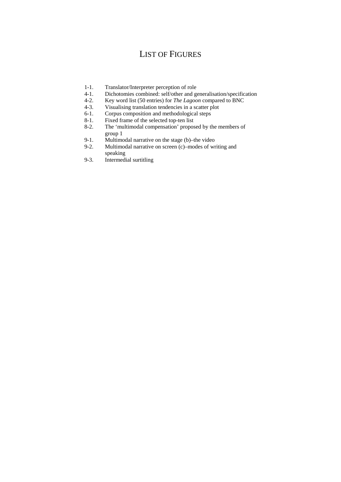# LIST OF FIGURES

- 1-1. Translator/Interpreter perception of role
- 4-1. Dichotomies combined: self/other and generalisation/specification
- 4-2. Key word list (50 entries) for *The Lagoon* compared to BNC
- 4-3. Visualising translation tendencies in a scatter plot 6-1. Corpus composition and methodological steps
- Corpus composition and methodological steps
- 8-1. Fixed frame of the selected top-ten list<br>8-2. The 'multimodal compensation' propos
- The 'multimodal compensation' proposed by the members of group 1
- 9-1. Multimodal narrative on the stage (b)–the video<br>9-2. Multimodal narrative on screen (c)–modes of wr
- Multimodal narrative on screen  $(c)$ –modes of writing and speaking
- 9-3. Intermedial surtitling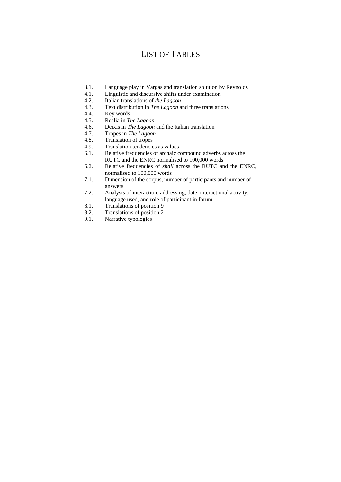# LIST OF TABLES

- 3.1. Language play in Vargas and translation solution by Reynolds
- 4.1. Linguistic and discursive shifts under examination
- 4.2. Italian translations of *the Lagoon*
- 4.3. Text distribution in *The Lagoon* and three translations 4.4 Key words
- Key words
- 4.5. Realia in *The Lagoon*
- 4.6. Deixis in *The Lagoon* and the Italian translation
- 4.7. Tropes in *The Lagoon*
- 4.8. Translation of tropes
- 4.9. Translation tendencies as values
- 6.1. Relative frequencies of archaic compound adverbs across the RUTC and the ENRC normalised to 100,000 words
- 6.2. Relative frequencies of *shall* across the RUTC and the ENRC, normalised to 100,000 words
- 7.1. Dimension of the corpus, number of participants and number of answers
- 7.2. Analysis of interaction: addressing, date, interactional activity, language used, and role of participant in forum
- 8.1. Translations of position 9
- 8.2. Translations of position 2
- 9.1. Narrative typologies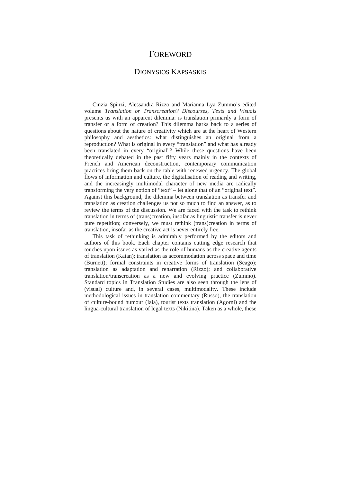## FOREWORD

### DIONYSIOS KAPSASKIS

Cinzia Spinzi, Alessandra Rizzo and Marianna Lya Zummo's edited volume *Translation or Transcreation? Discourses, Texts and Visuals* presents us with an apparent dilemma: is translation primarily a form of transfer or a form of creation? This dilemma harks back to a series of questions about the nature of creativity which are at the heart of Western philosophy and aesthetics: what distinguishes an original from a reproduction? What is original in every "translation" and what has already been translated in every "original"? While these questions have been theoretically debated in the past fifty years mainly in the contexts of French and American deconstruction, contemporary communication practices bring them back on the table with renewed urgency. The global flows of information and culture, the digitalisation of reading and writing, and the increasingly multimodal character of new media are radically transforming the very notion of "text" – let alone that of an "original text". Against this background, the dilemma between translation as transfer and translation as creation challenges us not so much to find an answer, as to review the terms of the discussion. We are faced with the task to rethink translation in terms of (trans)creation, insofar as linguistic transfer is never pure repetition; conversely, we must rethink (trans)creation in terms of translation, insofar as the creative act is never entirely free.

This task of rethinking is admirably performed by the editors and authors of this book. Each chapter contains cutting edge research that touches upon issues as varied as the role of humans as the creative agents of translation (Katan); translation as accommodation across space and time (Burnett); formal constraints in creative forms of translation (Seago); translation as adaptation and renarration (Rizzo); and collaborative translation/transcreation as a new and evolving practice (Zummo). Standard topics in Translation Studies are also seen through the lens of (visual) culture and, in several cases, multimodality. These include methodological issues in translation commentary (Russo), the translation of culture-bound humour (Iaia), tourist texts translation (Agorni) and the lingua-cultural translation of legal texts (Nikitina). Taken as a whole, these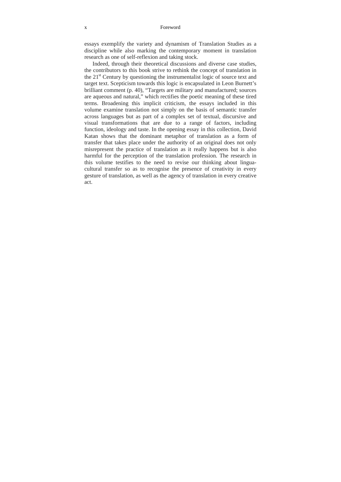#### x Foreword

essays exemplify the variety and dynamism of Translation Studies as a discipline while also marking the contemporary moment in translation research as one of self-reflexion and taking stock.

Indeed, through their theoretical discussions and diverse case studies, the contributors to this book strive to rethink the concept of translation in the  $21<sup>st</sup>$  Century by questioning the instrumentalist logic of source text and target text. Scepticism towards this logic is encapsulated in Leon Burnett's brilliant comment (p. 40), "Targets are military and manufactured; sources are aqueous and natural," which rectifies the poetic meaning of these tired terms. Broadening this implicit criticism, the essays included in this volume examine translation not simply on the basis of semantic transfer across languages but as part of a complex set of textual, discursive and visual transformations that are due to a range of factors, including function, ideology and taste. In the opening essay in this collection, David Katan shows that the dominant metaphor of translation as a form of transfer that takes place under the authority of an original does not only misrepresent the practice of translation as it really happens but is also harmful for the perception of the translation profession. The research in this volume testifies to the need to revise our thinking about linguacultural transfer so as to recognise the presence of creativity in every gesture of translation, as well as the agency of translation in every creative act.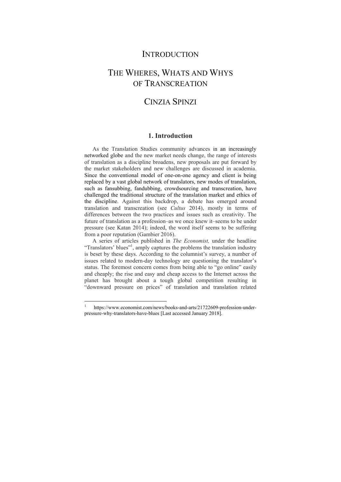## **INTRODUCTION**

# THE WHERES, WHATS AND WHYS OF TRANSCREATION

# CINZIA SPINZI

### **1. Introduction**

As the Translation Studies community advances in an increasingly networked globe and the new market needs change, the range of interests of translation as a discipline broadens, new proposals are put forward by the market stakeholders and new challenges are discussed in academia. Since the conventional model of one-on-one agency and client is being replaced by a vast global network of translators, new modes of translation, such as fansubbing, fandubbing, crowdsourcing and transcreation, have challenged the traditional structure of the translation market and ethics of the discipline. Against this backdrop, a debate has emerged around translation and transcreation (see *Cultus* 2014), mostly in terms of differences between the two practices and issues such as creativity. The future of translation as a profession–as we once knew it–seems to be under pressure (see Katan 2014); indeed, the word itself seems to be suffering from a poor reputation (Gambier 2016).

A series of articles published in *The Economist,* under the headline "Translators' blues"<sup>1</sup>, amply captures the problems the translation industry is beset by these days. According to the columnist's survey, a number of issues related to modern-day technology are questioning the translator's status. The foremost concern comes from being able to "go online" easily and cheaply; the rise and easy and cheap access to the Internet across the planet has brought about a tough global competition resulting in "downward pressure on prices" of translation and translation related

 $\overline{a}$ 

<sup>1</sup> https://www.economist.com/news/books-and-arts/21722609-profession-underpressure-why-translators-have-blues [Last accessed January 2018].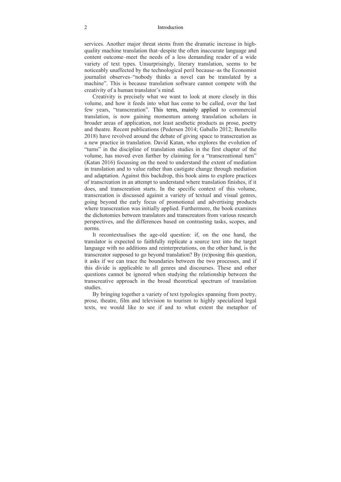#### 2 Introduction

services. Another major threat stems from the dramatic increase in highquality machine translation that–despite the often inaccurate language and content outcome–meet the needs of a less demanding reader of a wide variety of text types. Unsurprisingly, literary translation, seems to be noticeably unaffected by the technological peril because–as the Economist journalist observes–"nobody thinks a novel can be translated by a machine". This is because translation software cannot compete with the creativity of a human translator's mind.

Creativity is precisely what we want to look at more closely in this volume, and how it feeds into what has come to be called, over the last few years, "transcreation". This term, mainly applied to commercial translation, is now gaining momentum among translation scholars in broader areas of application, not least aesthetic products as prose, poetry and theatre. Recent publications (Pedersen 2014; Gaballo 2012; Benetello 2018) have revolved around the debate of giving space to transcreation as a new practice in translation. David Katan, who explores the evolution of "turns" in the discipline of translation studies in the first chapter of the volume, has moved even further by claiming for a "transcreational turn" (Katan 2016) focussing on the need to understand the extent of mediation in translation and to value rather than castigate change through mediation and adaptation. Against this backdrop, this book aims to explore practices of transcreation in an attempt to understand where translation finishes, if it does, and transcreation starts. In the specific context of this volume, transcreation is discussed against a variety of textual and visual genres, going beyond the early focus of promotional and advertising products where transcreation was initially applied. Furthermore, the book examines the dichotomies between translators and transcreators from various research perspectives, and the differences based on contrasting tasks, scopes, and norms.

It recontextualises the age-old question: if, on the one hand, the translator is expected to faithfully replicate a source text into the target language with no additions and reinterpretations, on the other hand, is the transcreator supposed to go beyond translation? By (re)posing this question, it asks if we can trace the boundaries between the two processes, and if this divide is applicable to all genres and discourses. These and other questions cannot be ignored when studying the relationship between the transcreative approach in the broad theoretical spectrum of translation studies.

By bringing together a variety of text typologies spanning from poetry, prose, theatre, film and television to tourism to highly specialized legal texts, we would like to see if and to what extent the metaphor of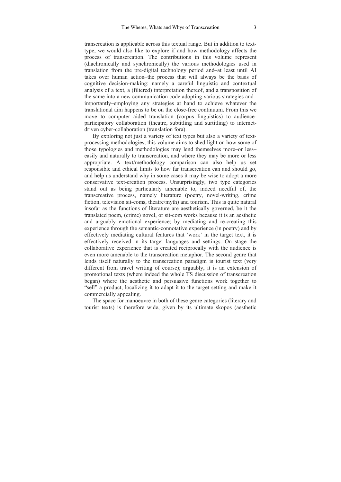transcreation is applicable across this textual range. But in addition to texttype, we would also like to explore if and how methodology affects the process of transcreation. The contributions in this volume represent (diachronically and synchronically) the various methodologies used in translation from the pre-digital technology period and–at least until AI takes over human action–the process that will always be the basis of cognitive decision-making: namely a careful linguistic and contextual analysis of a text, a (filtered) interpretation thereof, and a transposition of the same into a new communication code adopting various strategies and– importantly–employing any strategies at hand to achieve whatever the translational aim happens to be on the close-free continuum. From this we move to computer aided translation (corpus linguistics) to audienceparticipatory collaboration (theatre, subtitling and surtitling) to internetdriven cyber-collaboration (translation fora).

By exploring not just a variety of text types but also a variety of textprocessing methodologies, this volume aims to shed light on how some of those typologies and methodologies may lend themselves more–or less– easily and naturally to transcreation, and where they may be more or less appropriate. A text/methodology comparison can also help us set responsible and ethical limits to how far transcreation can and should go, and help us understand why in some cases it may be wise to adopt a more conservative text-creation process. Unsurprisingly, two type categories stand out as being particularly amenable to, indeed needful of, the transcreative process, namely literature (poetry, novel-writing, crime fiction, television sit-coms, theatre/myth) and tourism. This is quite natural insofar as the functions of literature are aesthetically governed, be it the translated poem, (crime) novel, or sit-com works because it is an aesthetic and arguably emotional experience; by mediating and re-creating this experience through the semantic-connotative experience (in poetry) and by effectively mediating cultural features that 'work' in the target text, it is effectively received in its target languages and settings. On stage the collaborative experience that is created reciprocally with the audience is even more amenable to the transcreation metaphor. The second genre that lends itself naturally to the transcreation paradigm is tourist text (very different from travel writing of course); arguably, it is an extension of promotional texts (where indeed the whole TS discussion of transcreation began) where the aesthetic and persuasive functions work together to "sell" a product, localizing it to adapt it to the target setting and make it commercially appealing.

The space for manoeuvre in both of these genre categories (literary and tourist texts) is therefore wide, given by its ultimate skopos (aesthetic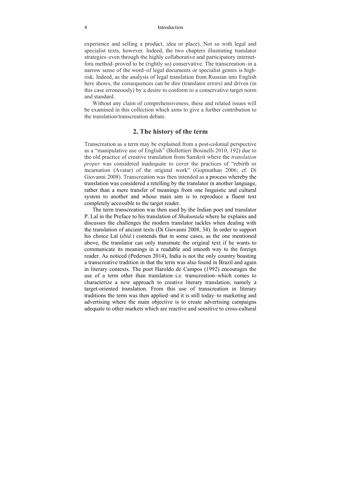#### 4 Introduction

experience and selling a product, idea or place). Not so with legal and specialist texts, however. Indeed, the two chapters illustrating translator strategies–even through the highly collaborative and participatory internetfora method–proved to be (rightly so) conservative. The transcreation–in a narrow sense of the word–of legal documents or specialist genres is highrisk. Indeed, as the analysis of legal translation from Russian into English here shows, the consequences can be dire (translator errors) and driven (in this case erroneously) by a desire to conform to a conservative target norm and standard.

Without any claim of comprehensiveness, these and related issues will be examined in this collection which aims to give a further contribution to the translation/transcreation debate.

#### **2. The history of the term**

Transcreation as a term may be explained from a post-colonial perspective as a "manipulative use of English" (Bollettieri Bosinelli 2010, 192) due to the old practice of creative translation from Sanskrit where the *translation proper* was considered inadequate to cover the practices of "rebirth or incarnation (Avatar) of the original work" (Gopinathan 2006; cf. Di Giovanni 2008). Transcreation was then intended as a process whereby the translation was considered a retelling by the translator in another language, rather than a mere transfer of meanings from one linguistic and cultural system to another and whose main aim is to reproduce a fluent text completely accessible to the target reader.

The term transcreation was then used by the Indian poet and translator P. Lal in the Preface to his translation of *Shakuntala* where he explains and discusses the challenges the modern translator tackles when dealing with the translation of ancient texts (Di Giovanni 2008, 34)*.* In order to support his choice Lal (*ibid.*) contends that in some cases, as the one mentioned above, the translator can only transmute the original text if he wants to communicate its meanings in a readable and smooth way to the foreign reader. As noticed (Pedersen 2014), India is not the only country boasting a transcreative tradition in that the term was also found in Brazil and again in literary contexts. The poet Haroldo de Campos (1992) encourages the use of a term other than translation–i.e. transcreation–which comes to characterize a new approach to creative literary translation, namely a target-oriented translation. From this use of transcreation in literary traditions the term was then applied–and it is still today–to marketing and advertising where the main objective is to create advertising campaigns adequate to other markets which are reactive and sensitive to cross-cultural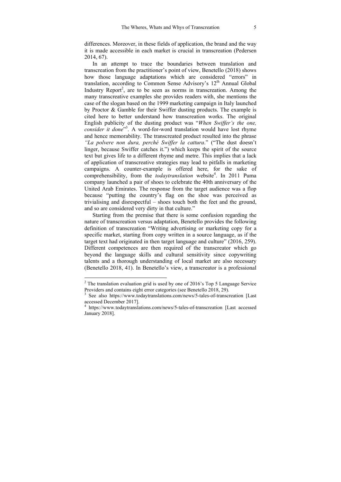differences. Moreover, in these fields of application, the brand and the way it is made accessible in each market is crucial in transcreation (Pedersen 2014, 67).

In an attempt to trace the boundaries between translation and transcreation from the practitioner's point of view, Benetello (2018) shows how those language adaptations which are considered "errors" in translation, according to Common Sense Advisory's 12<sup>th</sup> Annual Global Industry Report<sup>2</sup>, are to be seen as norms in transcreation. Among the many transcreative examples she provides readers with, she mentions the case of the slogan based on the 1999 marketing campaign in Italy launched by Proctor & Gamble for their Swiffer dusting products. The example is cited here to better understand how transcreation works. The original English publicity of the dusting product was "*When Swiffer's the one, consider it done*" 3 . A word-for-word translation would have lost rhyme and hence memorability. The transcreated product resulted into the phrase *"La polvere non dura, perché Swiffer la cattura*." ("The dust doesn't linger, because Swiffer catches it.") which keeps the spirit of the source text but gives life to a different rhyme and metre. This implies that a lack of application of transcreative strategies may lead to pitfalls in marketing campaigns. A counter-example is offered here, for the sake of comprehensibility, from the *todaytranslation* website<sup>4</sup>. In 2011 Puma company launched a pair of shoes to celebrate the 40th anniversary of the United Arab Emirates. The response from the target audience was a flop because "putting the country's flag on the shoe was perceived as trivialising and disrespectful – shoes touch both the feet and the ground, and so are considered very dirty in that culture."

Starting from the premise that there is some confusion regarding the nature of transcreation versus adaptation, Benetello provides the following definition of transcreation "Writing advertising or marketing copy for a specific market, starting from copy written in a source language, as if the target text had originated in then target language and culture" (2016, 259). Different competences are then required of the transcreator which go beyond the language skills and cultural sensitivity since copywriting talents and a thorough understanding of local market are also necessary (Benetello 2018, 41). In Benetello's view, a transcreator is a professional

 $2$  The translation evaluation grid is used by one of 2016's Top 5 Language Service Providers and contains eight error categories (see Benetello  $2018$ ,  $29$ ).

<sup>&</sup>lt;sup>3</sup> See also https://www.todaytranslations.com/news/5-tales-of-transcreation [Last] accessed December 2017].

<sup>4</sup> https://www.todaytranslations.com/news/5-tales-of-transcreation [Last accessed January 2018].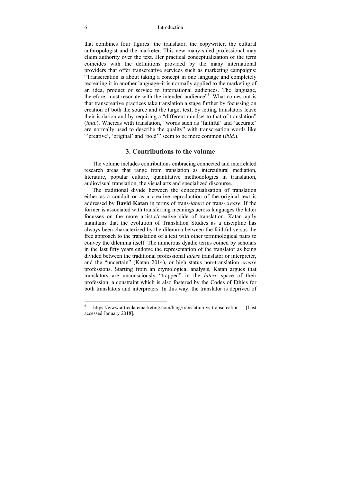#### 6 Introduction

that combines four figures: the translator, the copywriter, the cultural anthropologist and the marketer. This new many-sided professional may claim authority over the text. Her practical conceptualization of the term coincides with the definitions provided by the many international providers that offer transcreative services such as marketing campaigns: "Transcreation is about taking a concept in one language and completely recreating it in another language–it is normally applied to the marketing of an idea, product or service to international audiences. The language, therefore, must resonate with the intended audience"<sup>5</sup>. What comes out is that transcreative practices take translation a stage further by focussing on creation of both the source and the target text, by letting translators leave their isolation and by requiring a "different mindset to that of translation" (*ibid*.). Whereas with translation, "words such as 'faithful' and 'accurate' are normally used to describe the quality" with transcreation words like "'creative', 'original' and 'bold'" seem to be more common (*ibid*.).

### **3. Contributions to the volume**

The volume includes contributions embracing connected and interrelated research areas that range from translation as intercultural mediation, literature, popular culture, quantitative methodologies in translation, audiovisual translation, the visual arts and specialized discourse.

The traditional divide between the conceptualisation of translation either as a conduit or as a creative reproduction of the original text is addressed by **David Katan** in terms of trans-*latere* or trans-*creare*. If the former is associated with transferring meanings across languages the latter focusses on the more artistic/creative side of translation. Katan aptly maintains that the evolution of Translation Studies as a discipline has always been characterized by the dilemma between the faithful versus the free approach to the translation of a text with other terminological pairs to convey the dilemma itself. The numerous dyadic terms coined by scholars in the last fifty years endorse the representation of the translator as being divided between the traditional professional *latere* translator or interpreter, and the "uncertain" (Katan 2014), or high status non-translation *creare* professions. Starting from an etymological analysis, Katan argues that translators are unconsciously "trapped" in the *latere* space of their profession, a constraint which is also fostered by the Codes of Ethics for both translators and interpreters. In this way, the translator is deprived of

 $\overline{a}$ 

<sup>5</sup> https://www.articulatemarketing.com/blog/translation-vs-transcreation [Last] accessed January 2018].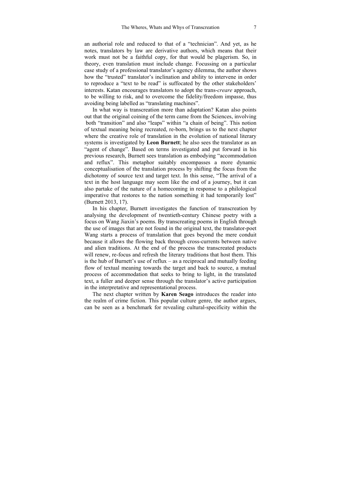an authorial role and reduced to that of a "technician". And yet, as he notes, translators by law are derivative authors, which means that their work must not be a faithful copy, for that would be plagerism. So, in theory, even translation must include change. Focussing on a particular case study of a professional translator's agency dilemma, the author shows how the "trusted" translator's inclination and ability to intervene in order to reproduce a "text to be read" is suffocated by the other stakeholders' interests. Katan encourages translators to adopt the trans-*creare* approach, to be willing to risk, and to overcome the fidelity/freedom impasse, thus avoiding being labelled as "translating machines".

In what way is transcreation more than adaptation? Katan also points out that the original coining of the term came from the Sciences, involving both "transition" and also "leaps" within "a chain of being". This notion of textual meaning being recreated, re-born, brings us to the next chapter where the creative role of translation in the evolution of national literary systems is investigated by **Leon Burnett**; he also sees the translator as an "agent of change". Based on terms investigated and put forward in his previous research, Burnett sees translation as embodying "accommodation and reflux". This metaphor suitably encompasses a more dynamic conceptualisation of the translation process by shifting the focus from the dichotomy of source text and target text. In this sense, "The arrival of a text in the host language may seem like the end of a journey, but it can also partake of the nature of a homecoming in response to a philological imperative that restores to the nation something it had temporarily lost" (Burnett 2013, 17).

In his chapter, Burnett investigates the function of transcreation by analysing the development of twentieth-century Chinese poetry with a focus on Wang Jiaxin's poems. By transcreating poems in English through the use of images that are not found in the original text, the translator-poet Wang starts a process of translation that goes beyond the mere conduit because it allows the flowing back through cross-currents between native and alien traditions. At the end of the process the transcreated products will renew, re-focus and refresh the literary traditions that host them. This is the hub of Burnett's use of reflux – as a reciprocal and mutually feeding flow of textual meaning towards the target and back to source, a mutual process of accommodation that seeks to bring to light, in the translated text, a fuller and deeper sense through the translator's active participation in the interpretative and representational process.

The next chapter written by **Karen Seago** introduces the reader into the realm of crime fiction. This popular culture genre, the author argues, can be seen as a benchmark for revealing cultural-specificity within the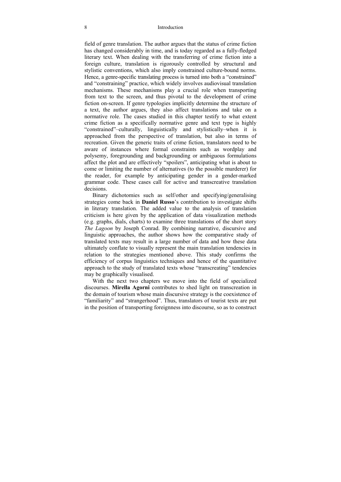#### 8 Introduction

field of genre translation. The author argues that the status of crime fiction has changed considerably in time, and is today regarded as a fully-fledged literary text. When dealing with the transferring of crime fiction into a foreign culture, translation is rigorously controlled by structural and stylistic conventions, which also imply constrained culture-bound norms. Hence, a genre-specific translating process is turned into both a "constrained" and "constraining" practice, which widely involves audiovisual translation mechanisms. These mechanisms play a crucial role when transporting from text to the screen, and thus pivotal to the development of crime fiction on-screen. If genre typologies implicitly determine the structure of a text, the author argues, they also affect translations and take on a normative role. The cases studied in this chapter testify to what extent crime fiction as a specifically normative genre and text type is highly "constrained"–culturally, linguistically and stylistically–when it is approached from the perspective of translation, but also in terms of recreation. Given the generic traits of crime fiction, translators need to be aware of instances where formal constraints such as wordplay and polysemy, foregrounding and backgrounding or ambiguous formulations affect the plot and are effectively "spoilers", anticipating what is about to come or limiting the number of alternatives (to the possible murderer) for the reader, for example by anticipating gender in a gender-marked grammar code. These cases call for active and transcreative translation decisions.

Binary dichotomies such as self/other and specifying/generalising strategies come back in **Daniel Russo**'s contribution to investigate shifts in literary translation. The added value to the analysis of translation criticism is here given by the application of data visualization methods (e.g. graphs, dials, charts) to examine three translations of the short story *The Lagoon* by Joseph Conrad. By combining narrative, discursive and linguistic approaches, the author shows how the comparative study of translated texts may result in a large number of data and how these data ultimately conflate to visually represent the main translation tendencies in relation to the strategies mentioned above. This study confirms the efficiency of corpus linguistics techniques and hence of the quantitative approach to the study of translated texts whose "transcreating" tendencies may be graphically visualised.

With the next two chapters we move into the field of specialized discourses. **Mirella Agorni** contributes to shed light on transcreation in the domain of tourism whose main discursive strategy is the coexistence of "familiarity" and "strangerhood". Thus, translators of tourist texts are put in the position of transporting foreignness into discourse, so as to construct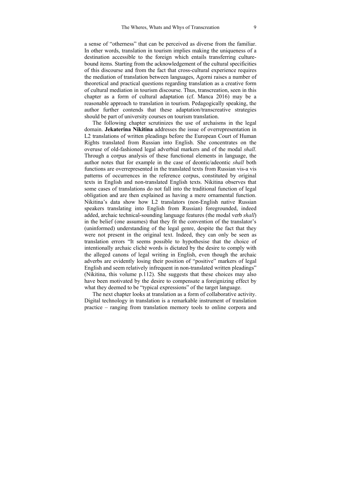a sense of "otherness" that can be perceived as diverse from the familiar. In other words, translation in tourism implies making the uniqueness of a destination accessible to the foreign which entails transferring culturebound items. Starting from the acknowledgement of the cultural specificities of this discourse and from the fact that cross-cultural experience requires the mediation of translation between languages, Agorni raises a number of theoretical and practical questions regarding translation as a creative form of cultural mediation in tourism discourse. Thus, transcreation, seen in this chapter as a form of cultural adaptation (cf. Manca 2016) may be a reasonable approach to translation in tourism. Pedagogically speaking, the author further contends that these adaptation/transcreative strategies should be part of university courses on tourism translation.

The following chapter scrutinizes the use of archaisms in the legal domain. **Jekaterina Nikitina** addresses the issue of overrepresentation in L2 translations of written pleadings before the European Court of Human Rights translated from Russian into English. She concentrates on the overuse of old-fashioned legal adverbial markers and of the modal *shall*. Through a corpus analysis of these functional elements in language, the author notes that for example in the case of deontic/adeontic *shall* both functions are overrepresented in the translated texts from Russian vis-a vis patterns of occurrences in the reference corpus, constituted by original texts in English and non-translated English texts. Nikitina observes that some cases of translations do not fall into the traditional function of legal obligation and are then explained as having a mere ornamental function. Nikitina's data show how L2 translators (non-English native Russian speakers translating into English from Russian) foregrounded, indeed added, archaic technical-sounding language features (the modal verb *shall*) in the belief (one assumes) that they fit the convention of the translator's (uninformed) understanding of the legal genre, despite the fact that they were not present in the original text. Indeed, they can only be seen as translation errors "It seems possible to hypothesise that the choice of intentionally archaic cliché words is dictated by the desire to comply with the alleged canons of legal writing in English, even though the archaic adverbs are evidently losing their position of "positive" markers of legal English and seem relatively infrequent in non-translated written pleadings" (Nikitina, this volume p.112). She suggests that these choices may also have been motivated by the desire to compensate a foreignizing effect by what they deemed to be "typical expressions" of the target language.

The next chapter looks at translation as a form of collaborative activity. Digital technology in translation is a remarkable instrument of translation practice – ranging from translation memory tools to online corpora and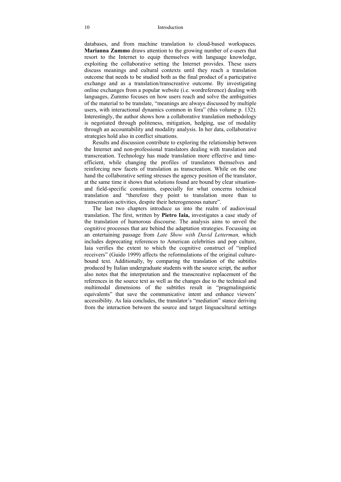#### 10 Introduction

databases, and from machine translation to cloud-based workspaces. **Marianna Zummo** draws attention to the growing number of e-users that resort to the Internet to equip themselves with language knowledge, exploiting the collaborative setting the Internet provides. These users discuss meanings and cultural contexts until they reach a translation outcome that needs to be studied both as the final product of a participative exchange and as a translation/transcreative outcome. By investigating online exchanges from a popular website (i.e. wordreference) dealing with languages, Zummo focuses on how users reach and solve the ambiguities of the material to be translate, "meanings are always discussed by multiple users, with interactional dynamics common in fora" (this volume p. 132). Interestingly, the author shows how a collaborative translation methodology is negotiated through politeness, mitigation, hedging, use of modality through an accountability and modality analysis. In her data, collaborative strategies hold also in conflict situations.

Results and discussion contribute to exploring the relationship between the Internet and non-professional translators dealing with translation and transcreation. Technology has made translation more effective and timeefficient, while changing the profiles of translators themselves and reinforcing new facets of translation as transcreation. While on the one hand the collaborative setting stresses the agency position of the translator, at the same time it shows that solutions found are bound by clear situationand field-specific constraints, especially for what concerns technical translation and "therefore they point to translation more than to transcreation activities, despite their heterogeneous nature".

The last two chapters introduce us into the realm of audiovisual translation. The first, written by **Pietro Iaia,** investigates a case study of the translation of humorous discourse. The analysis aims to unveil the cognitive processes that are behind the adaptation strategies. Focussing on an entertaining passage from *Late Show with David Letterman,* which includes deprecating references to American celebrities and pop culture, Iaia verifies the extent to which the cognitive construct of "implied receivers" (Guido 1999) affects the reformulations of the original culturebound text. Additionally, by comparing the translation of the subtitles produced by Italian undergraduate students with the source script, the author also notes that the interpretation and the transcreative replacement of the references in the source text as well as the changes due to the technical and multimodal dimensions of the subtitles result in "pragmalinguistic equivalents" that save the communicative intent and enhance viewers' accessibility. As Iaia concludes, the translator's "mediation" stance deriving from the interaction between the source and target linguacultural settings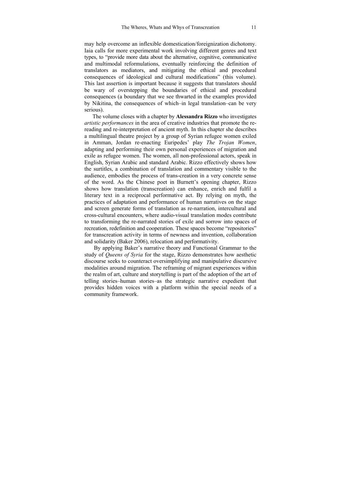may help overcome an inflexible domestication/foreignization dichotomy. Iaia calls for more experimental work involving different genres and text types, to "provide more data about the alternative, cognitive, communicative and multimodal reformulations, eventually reinforcing the definition of translators as mediators, and mitigating the ethical and procedural consequences of ideological and cultural modifications" (this volume). This last assertion is important because it suggests that translators should be wary of overstepping the boundaries of ethical and procedural consequences (a boundary that we see thwarted in the examples provided by Nikitina, the consequences of which–in legal translation–can be very serious).

The volume closes with a chapter by **Alessandra Rizzo** who investigates *artistic performances* in the area of creative industries that promote the rereading and re-interpretation of ancient myth. In this chapter she describes a multilingual theatre project by a group of Syrian refugee women exiled in Amman, Jordan re-enacting Euripedes' play *The Trojan Women*, adapting and performing their own personal experiences of migration and exile as refugee women. The women, all non-professional actors, speak in English, Syrian Arabic and standard Arabic. Rizzo effectively shows how the surtitles, a combination of translation and commentary visible to the audience, embodies the process of trans-creation in a very concrete sense of the word. As the Chinese poet in Burnett's opening chapter, Rizzo shows how translation (transcreation) can enhance, enrich and fulfil a literary text in a reciprocal performative act. By relying on myth, the practices of adaptation and performance of human narratives on the stage and screen generate forms of translation as re-narration, intercultural and cross-cultural encounters, where audio-visual translation modes contribute to transforming the re-narrated stories of exile and sorrow into spaces of recreation, redefinition and cooperation. These spaces become "repositories" for transcreation activity in terms of newness and invention, collaboration and solidarity (Baker 2006), relocation and performativity.

By applying Baker's narrative theory and Functional Grammar to the study of *Queens of Syria* for the stage, Rizzo demonstrates how aesthetic discourse seeks to counteract oversimplifying and manipulative discursive modalities around migration. The reframing of migrant experiences within the realm of art, culture and storytelling is part of the adoption of the art of telling stories–human stories–as the strategic narrative expedient that provides hidden voices with a platform within the special needs of a community framework.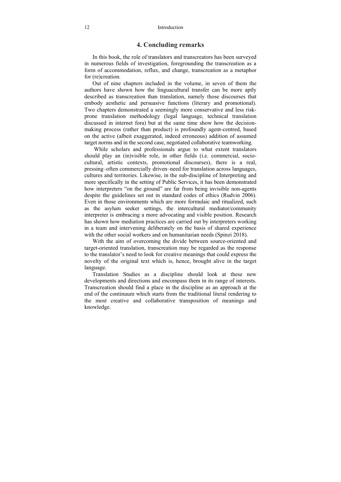### **4. Concluding remarks**

In this book, the role of translators and transcreators has been surveyed in numerous fields of investigation, foregrounding the transcreation as a form of accommodation, reflux, and change, transcreation as a metaphor for (re)creation.

Out of nine chapters included in the volume, in seven of them the authors have shown how the linguacultural transfer can be more aptly described as transcreation than translation, namely those discourses that embody aesthetic and persuasive functions (literary and promotional). Two chapters demonstrated a seemingly more conservative and less riskprone translation methodology (legal language, technical translation discussed in internet fora) but at the same time show how the decisionmaking process (rather than product) is profoundly agent-centred, based on the active (albeit exaggerated, indeed erroneous) addition of assumed target norms and in the second case, negotiated collaborative teamworking.

 While scholars and professionals argue to what extent translators should play an (in)visible role, in other fields (i.e. commercial, sociocultural, artistic contexts, promotional discourses), there is a real, pressing–often commercially driven–need for translation across languages, cultures and territories. Likewise, in the sub-discipline of Interpreting and more specifically in the setting of Public Services, it has been demonstrated how interpreters "on the ground" are far from being invisible non-agents despite the guidelines set out in standard codes of ethics (Rudvin 2006). Even in those environments which are more formulaic and ritualized, such as the asylum seeker settings, the intercultural mediator/community interpreter is embracing a more advocating and visible position. Research has shown how mediation practices are carried out by interpreters working in a team and intervening deliberately on the basis of shared experience with the other social workers and on humanitarian needs (Spinzi 2018).

With the aim of overcoming the divide between source-oriented and target-oriented translation, transcreation may be regarded as the response to the translator's need to look for creative meanings that could express the novelty of the original text which is, hence, brought alive in the target language.

Translation Studies as a discipline should look at these new developments and directions and encompass them in its range of interests. Transcreation should find a place in the discipline as an approach at the end of the continuum which starts from the traditional literal rendering to the most creative and collaborative transposition of meanings and knowledge.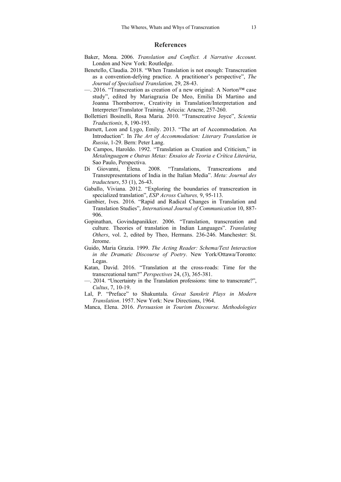#### **References**

- Baker, Mona. 2006. *Translation and Conflict. A Narrative Account*. London and New York: Routledge.
- Benetello, Claudia. 2018. "When Translation is not enough: Transcreation as a convention-defying practice. A practitioner's perspective", *The Journal of Specialised Translation,* 29, 28-43.
- —. 2016. "Transcreation as creation of a new original: A Norton™ case study", edited by Mariagrazia De Meo, Emilia Di Martino and Joanna Thornborrow, Creativity in Translation/Interpretation and Interpreter/Translator Training. Ariccia: Aracne, 257-260.
- Bollettieri Bosinelli, Rosa Maria. 2010. "Transcreative Joyce", *Scientia Traductionis,* 8, 190-193.
- Burnett, Leon and Lygo, Emily. 2013. "The art of Accommodation. An Introduction"*.* In *The Art of Accommodation: Literary Translation in Russia*, 1-29. Bern: Peter Lang.
- De Campos, Haroldo. 1992. "Translation as Creation and Criticism," in *Metalinguagem e Outras Metas: Ensaios de Teoria e Crítica Literária*, Sao Paulo, Perspectiva.
- Di Giovanni, Elena. 2008. "Translations, Transcreations and Transrepresentations of India in the Italian Media". *Meta: Journal des traducteurs*, 53 (1), 26-43.
- Gaballo, Viviana. 2012. "Exploring the boundaries of transcreation in specialized translation", *ESP Across Cultures,* 9, 95-113.
- Gambier, Ives. 2016. "Rapid and Radical Changes in Translation and Translation Studies", *International Journal of Communication* 10, 887- 906.
- Gopinathan, Govindapanikker. 2006. "Translation, transcreation and culture. Theories of translation in Indian Languages". *Translating Others*, vol. 2, edited by Theo, Hermans. 236-246. Manchester: St. Jerome.
- Guido, Maria Grazia. 1999. *The Acting Reader: Schema/Text Interaction in the Dramatic Discourse of Poetry*. New York/Ottawa/Toronto: Legas.
- Katan, David. 2016. "Translation at the cross-roads: Time for the transcreational turn?" *Perspectives* 24, (3), 365-381.
- —. 2014. "Uncertainty in the Translation professions: time to transcreate?", *Cultus*, 7, 10-19.
- Lal, P. "Preface" to Shakuntala. *Great Sanskrit Plays in Modern Translation*. 1957. New York: New Directions, 1964.
- Manca, Elena. 2016. *Persuasion in Tourism Discourse. Methodologies*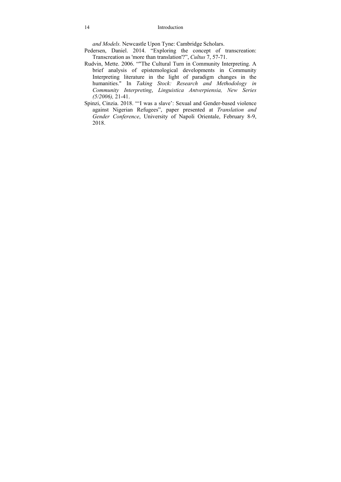*and Models.* Newcastle Upon Tyne: Cambridge Scholars.

Pedersen, Daniel. 2014. "Exploring the concept of transcreation: Transcreation as 'more than translation'?", *Cultus* 7, 57-71.

- Rudvin, Mette. 2006. ""The Cultural Turn in Community Interpreting. A brief analysis of epistemological developments in Community Interpreting literature in the light of paradigm changes in the humanities." In *Taking Stock: Research and Methodology in Community Interpreting*, *Linguistica Antverpiensia, New Series (5/2006),* 21-41.
- Spinzi, Cinzia. 2018. "'I was a slave': Sexual and Gender-based violence against Nigerian Refugees", paper presented at *Translation and Gender Conference*, University of Napoli Orientale, February 8-9, 2018.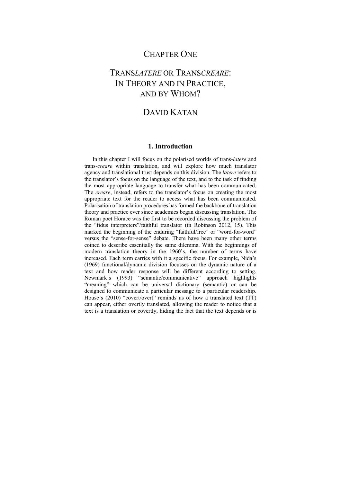# CHAPTER ONE

# TRANS*LATERE* OR TRANS*CREARE*: IN THEORY AND IN PRACTICE, AND BY WHOM?

# DAVID KATAN

### **1. Introduction**

In this chapter I will focus on the polarised worlds of trans-*latere* and trans-*creare* within translation, and will explore how much translator agency and translational trust depends on this division. The *latere* refers to the translator's focus on the language of the text, and to the task of finding the most appropriate language to transfer what has been communicated. The *creare*, instead, refers to the translator's focus on creating the most appropriate text for the reader to access what has been communicated. Polarisation of translation procedures has formed the backbone of translation theory and practice ever since academics began discussing translation. The Roman poet Horace was the first to be recorded discussing the problem of the "fidus interpreters"/faithful translator (in Robinson 2012, 15). This marked the beginning of the enduring "faithful/free" or "word-for-word" versus the "sense-for-sense" debate. There have been many other terms coined to describe essentially the same dilemma. With the beginnings of modern translation theory in the 1960's, the number of terms have increased. Each term carries with it a specific focus. For example, Nida's (1969) functional/dynamic division focusses on the dynamic nature of a text and how reader response will be different according to setting. Newmark's (1993) "semantic/communicative" approach highlights "meaning" which can be universal dictionary (semantic) or can be designed to communicate a particular message to a particular readership. House's (2010) "covert/overt" reminds us of how a translated text (TT) can appear, either overtly translated, allowing the reader to notice that a text is a translation or covertly, hiding the fact that the text depends or is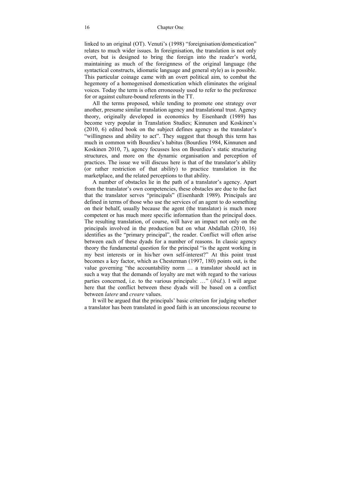#### 16 Chapter One

linked to an original (OT). Venuti's (1998) "foreignisation/domestication" relates to much wider issues. In foreignisation, the translation is not only overt, but is designed to bring the foreign into the reader's world, maintaining as much of the foreignness of the original language (the syntactical constructs, idiomatic language and general style) as is possible. This particular coinage came with an overt political aim, to combat the hegemony of a homogenised domestication which eliminates the original voices. Today the term is often erroneously used to refer to the preference for or against culture-bound referents in the TT.

All the terms proposed, while tending to promote one strategy over another, presume similar translation agency and translational trust. Agency theory, originally developed in economics by Eisenhardt (1989) has become very popular in Translation Studies; Kinnunen and Koskinen's (2010, 6) edited book on the subject defines agency as the translator's "willingness and ability to act". They suggest that though this term has much in common with Bourdieu's habitus (Bourdieu 1984, Kinnunen and Koskinen 2010, 7), agency focusses less on Bourdieu's static structuring structures, and more on the dynamic organisation and perception of practices. The issue we will discuss here is that of the translator's ability (or rather restriction of that ability) to practice translation in the marketplace, and the related perceptions to that ability.

A number of obstacles lie in the path of a translator's agency. Apart from the translator's own competencies, these obstacles are due to the fact that the translator serves "principals" (Eisenhardt 1989). Principals are defined in terms of those who use the services of an agent to do something on their behalf, usually because the agent (the translator) is much more competent or has much more specific information than the principal does. The resulting translation, of course, will have an impact not only on the principals involved in the production but on what Abdallah (2010, 16) identifies as the "primary principal", the reader. Conflict will often arise between each of these dyads for a number of reasons. In classic agency theory the fundamental question for the principal "is the agent working in my best interests or in his/her own self-interest?" At this point trust becomes a key factor, which as Chesterman (1997, 180) points out, is the value governing "the accountability norm … a translator should act in such a way that the demands of loyalty are met with regard to the various parties concerned, i.e. to the various principals: …" (*ibid*.). I will argue here that the conflict between these dyads will be based on a conflict between *latere* and *creare* values.

It will be argued that the principals' basic criterion for judging whether a translator has been translated in good faith is an unconscious recourse to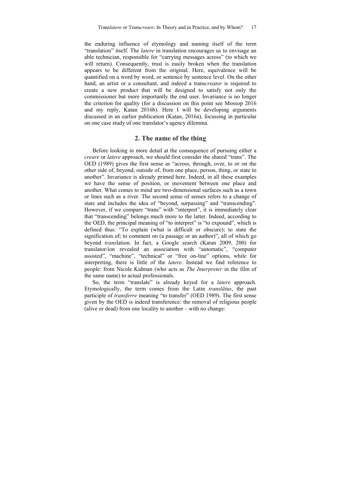the enduring influence of etymology and naming itself of the term "translation" itself. The *latere* in translation encourages us to envisage an able technician, responsible for "carrying messages across" (to which we will return). Consequently, trust is easily broken when the translation appears to be different from the original. Here, equivalence will be quantified on a word by word, or sentence by sentence level. On the other hand, an artist or a consultant, and indeed a trans*creator* is required to create a new product that will be designed to satisfy not only the commissioner but more importantly the end user. Invariance is no longer the criterion for quality (for a discussion on this point see Mossop 2016 and my reply, Katan 2016b). Here I will be developing arguments discussed in an earlier publication (Katan, 2016a), focussing in particular on one case study of one translator's agency dilemma.

### **2. The name of the thing**

Before looking in more detail at the consequence of pursuing either a *creare* or *latere* approach, we should first consider the shared "trans". The OED (1989) gives the first sense as "across, through, over, to or on the other side of, beyond, outside of, from one place, person, thing, or state to another". Invariance is already primed here. Indeed, in all these examples we have the sense of position, or movement between one place and another. What comes to mind are two-dimensional surfaces such as a town or lines such as a river. The second sense of senses refers to a change of state and includes the idea of "beyond, surpassing" and "transcending". However, if we compare "trans" with "interpret", it is immediately clear that "transcending" belongs much more to the latter. Indeed, according to the OED, the principal meaning of "to interpret" is "to expound", which is defined thus: "To explain (what is difficult or obscure); to state the signification of; to comment on (a passage or an author)", all of which go beyond *trans*lation. In fact, a Google search (Katan 2009, 200) for translator/ion revealed an association with "automatic", "computer assisted", "machine", "technical" or "free on-line" options, while for interpreting, there is little of the *latere*. Instead we find reference to people: from Nicole Kidman (who acts as *The Interpreter* in the film of the same name) to actual professionals.

So, the term "translate" is already keyed for a *latere* approach. Etymologically, the term comes from the Latin *translātus*, the past participle of *transferre* meaning "to transfer" (OED 1989). The first sense given by the OED is indeed transference: the removal of religious people (alive or dead) from one locality to another – with no change: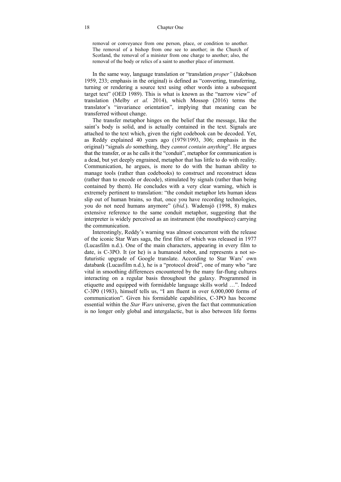#### 18 Chapter One

removal or conveyance from one person, place, or condition to another. The removal of a bishop from one see to another; in the Church of Scotland, the removal of a minister from one charge to another; also, the removal of the body or relics of a saint to another place of interment.

In the same way, language translation or "translation *proper"* (Jakobson 1959, 233; emphasis in the original) is defined as "converting, transferring, turning or rendering a source text using other words into a subsequent target text" (OED 1989). This is what is known as the "narrow view" of translation (Melby *et al.* 2014), which Mossop (2016) terms the translator's "invariance orientation", implying that meaning can be transferred without change.

The transfer metaphor hinges on the belief that the message, like the saint's body is solid, and is actually contained in the text. Signals are attached to the text which, given the right codebook can be decoded. Yet, as Reddy explained 40 years ago (1979/1993, 306; emphasis in the original) "signals *do* something, they *cannot contain anything*". He argues that the transfer, or as he calls it the "conduit", metaphor for communication is a dead, but yet deeply engrained, metaphor that has little to do with reality. Communication, he argues, is more to do with the human ability to manage tools (rather than codebooks) to construct and reconstruct ideas (rather than to encode or decode), stimulated by signals (rather than being contained by them). He concludes with a very clear warning, which is extremely pertinent to translation: "the conduit metaphor lets human ideas slip out of human brains, so that, once you have recording technologies, you do not need humans anymore" (*ibid.*). Wadensjö (1998, 8) makes extensive reference to the same conduit metaphor, suggesting that the interpreter is widely perceived as an instrument (the mouthpiece) carrying the communication.

Interestingly, Reddy's warning was almost concurrent with the release of the iconic Star Wars saga, the first film of which was released in 1977 (Lucasfilm n.d.). One of the main characters, appearing in every film to date, is C-3PO. It (or he) is a humanoid robot, and represents a not sofuturistic upgrade of Google translate. According to Star Wars' own databank (Lucasfilm n.d.), he is a "protocol droid", one of many who "are vital in smoothing differences encountered by the many far-flung cultures interacting on a regular basis throughout the galaxy. Programmed in etiquette and equipped with formidable language skills world …". Indeed C-3P0 (1983), himself tells us, "I am fluent in over 6,000,000 forms of communication". Given his formidable capabilities, C-3PO has become essential within the *Star Wars* universe, given the fact that communication is no longer only global and intergalactic, but is also between life forms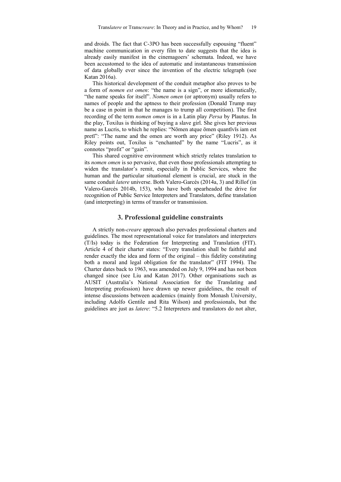and droids. The fact that C-3PO has been successfully espousing "fluent" machine communication in every film to date suggests that the idea is already easily manifest in the cinemagoers' schemata. Indeed, we have been accustomed to the idea of automatic and instantaneous transmission of data globally ever since the invention of the electric telegraph (see Katan 2016a).

This historical development of the conduit metaphor also proves to be a form of *nomen est omen*: "the name is a sign", or more idiomatically, "the name speaks for itself". *Nomen omen* (or aptronym) usually refers to names of people and the aptness to their profession (Donald Trump may be a case in point in that he manages to trump all competition). The first recording of the term *nomen omen* is in a Latin play *Persa* by Plautus. In the play, Toxilus is thinking of buying a slave girl. She gives her previous name as Lucris, to which he replies: "Nōmen atque ōmen quantīvīs iam est pretī": "The name and the omen are worth any price" (Riley 1912). As Riley points out, Toxilus is "enchanted" by the name "Lucris", as it connotes "profit" or "gain".

This shared cognitive environment which strictly relates translation to its *nomen omen* is so pervasive, that even those professionals attempting to widen the translator's remit, especially in Public Services, where the human and the particular situational element is crucial, are stuck in the same conduit *latere* universe. Both Valero-Garcés (2014a, 3) and Rillof (in Valero-Garcés 2014b, 153), who have both spearheaded the drive for recognition of Public Service Interpreters and Translators, define translation (and interpreting) in terms of transfer or transmission.

### **3. Professional guideline constraints**

A strictly non*-creare* approach also pervades professional charters and guidelines. The most representational voice for translators and interpreters (T/Is) today is the Federation for Interpreting and Translation (FIT). Article 4 of their charter states: "Every translation shall be faithful and render exactly the idea and form of the original – this fidelity constituting both a moral and legal obligation for the translator" (FIT 1994). The Charter dates back to 1963, was amended on July 9, 1994 and has not been changed since (see Liu and Katan 2017). Other organisations such as AUSIT (Australia's National Association for the Translating and Interpreting profession) have drawn up newer guidelines, the result of intense discussions between academics (mainly from Monash University, including Adolfo Gentile and Rita Wilson) and professionals, but the guidelines are just as *latere*: "5.2 Interpreters and translators do not alter,